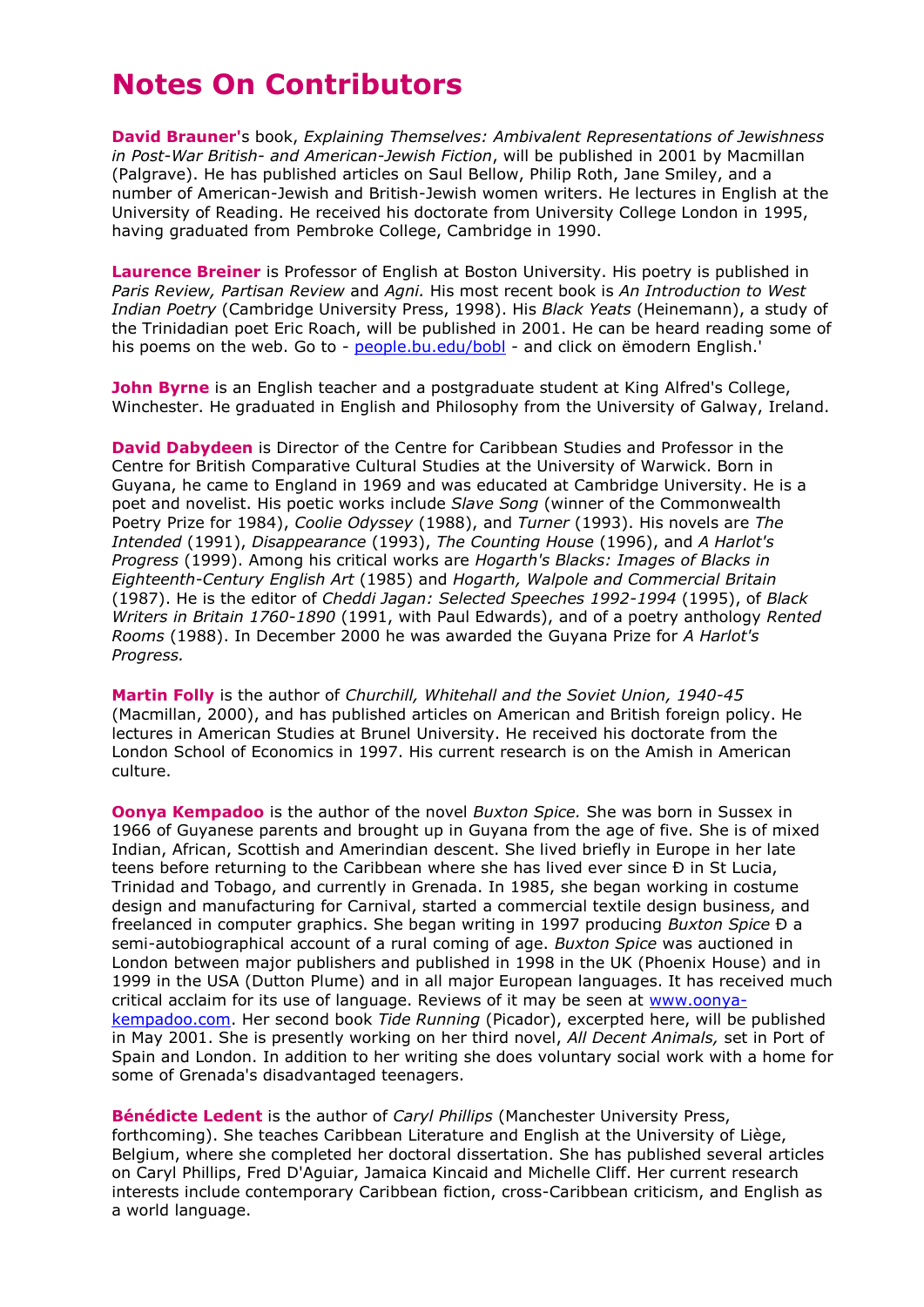## **Notes On Contributors**

**David Brauner'**s book, *Explaining Themselves: Ambivalent Representations of Jewishness in Post-War British- and American-Jewish Fiction*, will be published in 2001 by Macmillan (Palgrave). He has published articles on Saul Bellow, Philip Roth, Jane Smiley, and a number of American-Jewish and British-Jewish women writers. He lectures in English at the University of Reading. He received his doctorate from University College London in 1995, having graduated from Pembroke College, Cambridge in 1990.

**Laurence Breiner** is Professor of English at Boston University. His poetry is published in *Paris Review, Partisan Review* and *Agni.* His most recent book is *An Introduction to West Indian Poetry* (Cambridge University Press, 1998). His *Black Yeats* (Heinemann), a study of the Trinidadian poet Eric Roach, will be published in 2001. He can be heard reading some of his poems on the web. Go to - [people.bu.edu/bobl](http://people.bu.edu/bobl) - and click on emodern English.'

**John Byrne** is an English teacher and a postgraduate student at King Alfred's College, Winchester. He graduated in English and Philosophy from the University of Galway, Ireland.

**David Dabydeen** is Director of the Centre for Caribbean Studies and Professor in the Centre for British Comparative Cultural Studies at the University of Warwick. Born in Guyana, he came to England in 1969 and was educated at Cambridge University. He is a poet and novelist. His poetic works include *Slave Song* (winner of the Commonwealth Poetry Prize for 1984), *Coolie Odyssey* (1988), and *Turner* (1993). His novels are *The Intended* (1991), *Disappearance* (1993), *The Counting House* (1996), and *A Harlot's Progress* (1999). Among his critical works are *Hogarth's Blacks: Images of Blacks in Eighteenth-Century English Art* (1985) and *Hogarth, Walpole and Commercial Britain*  (1987). He is the editor of *Cheddi Jagan: Selected Speeches 1992-1994* (1995), of *Black Writers in Britain 1760-1890* (1991, with Paul Edwards), and of a poetry anthology *Rented Rooms* (1988). In December 2000 he was awarded the Guyana Prize for *A Harlot's Progress.*

**Martin Folly** is the author of *Churchill, Whitehall and the Soviet Union, 1940-45* (Macmillan, 2000), and has published articles on American and British foreign policy. He lectures in American Studies at Brunel University. He received his doctorate from the London School of Economics in 1997. His current research is on the Amish in American culture.

**Oonya Kempadoo** is the author of the novel *Buxton Spice.* She was born in Sussex in 1966 of Guyanese parents and brought up in Guyana from the age of five. She is of mixed Indian, African, Scottish and Amerindian descent. She lived briefly in Europe in her late teens before returning to the Caribbean where she has lived ever since Ð in St Lucia, Trinidad and Tobago, and currently in Grenada. In 1985, she began working in costume design and manufacturing for Carnival, started a commercial textile design business, and freelanced in computer graphics. She began writing in 1997 producing *Buxton Spice* Ð a semi-autobiographical account of a rural coming of age. *Buxton Spice* was auctioned in London between major publishers and published in 1998 in the UK (Phoenix House) and in 1999 in the USA (Dutton Plume) and in all major European languages. It has received much critical acclaim for its use of language. Reviews of it may be seen at [www.oonya](http://www.oonya-kempadoo.com/)[kempadoo.com.](http://www.oonya-kempadoo.com/) Her second book *Tide Running* (Picador), excerpted here, will be published in May 2001. She is presently working on her third novel, *All Decent Animals,* set in Port of Spain and London. In addition to her writing she does voluntary social work with a home for some of Grenada's disadvantaged teenagers.

**Bénédicte Ledent** is the author of *Caryl Phillips* (Manchester University Press, forthcoming). She teaches Caribbean Literature and English at the University of Liège, Belgium, where she completed her doctoral dissertation. She has published several articles on Caryl Phillips, Fred D'Aguiar, Jamaica Kincaid and Michelle Cliff. Her current research interests include contemporary Caribbean fiction, cross-Caribbean criticism, and English as a world language.